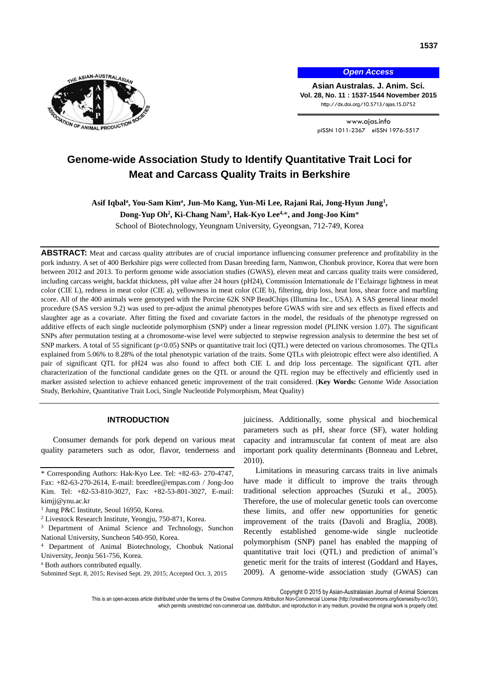

*Open Access*

**Asian Australas. J. Anim. Sci. Vol. 28, No. 11 : 1537-1544 November 2015** http://dx.doi.org/10.5713/ajas.15.0752

> www.ajas.info pISSN 1011-2367 eISSN 1976-5517

# **Genome-wide Association Study to Identify Quantitative Trait Loci for Meat and Carcass Quality Traits in Berkshire**

# Asif Iqbal<sup>a</sup>, You-Sam Kim<sup>a</sup>, Jun-Mo Kang, Yun-Mi Lee, Rajani Rai, Jong-Hyun Jung<sup>1</sup>,

**Dong-Yup Oh<sup>2</sup> , Ki-Chang Nam<sup>3</sup> , Hak-Kyo Lee4,**\***, and Jong-Joo Kim**\*

School of Biotechnology, Yeungnam University, Gyeongsan, 712-749, Korea

**ABSTRACT:** Meat and carcass quality attributes are of crucial importance influencing consumer preference and profitability in the pork industry. A set of 400 Berkshire pigs were collected from Dasan breeding farm, Namwon, Chonbuk province, Korea that were born between 2012 and 2013. To perform genome wide association studies (GWAS), eleven meat and carcass quality traits were considered, including carcass weight, backfat thickness, pH value after 24 hours (pH24), Commission Internationale de l'Eclairage lightness in meat color (CIE L), redness in meat color (CIE a), yellowness in meat color (CIE b), filtering, drip loss, heat loss, shear force and marbling score. All of the 400 animals were genotyped with the Porcine 62K SNP BeadChips (Illumina Inc., USA). A SAS general linear model procedure (SAS version 9.2) was used to pre-adjust the animal phenotypes before GWAS with sire and sex effects as fixed effects and slaughter age as a covariate. After fitting the fixed and covariate factors in the model, the residuals of the phenotype regressed on additive effects of each single nucleotide polymorphism (SNP) under a linear regression model (PLINK version 1.07). The significant SNPs after permutation testing at a chromosome-wise level were subjected to stepwise regression analysis to determine the best set of SNP markers. A total of 55 significant (p<0.05) SNPs or quantitative trait loci (QTL) were detected on various chromosomes. The QTLs explained from 5.06% to 8.28% of the total phenotypic variation of the traits. Some QTLs with pleiotropic effect were also identified. A pair of significant QTL for pH24 was also found to affect both CIE L and drip loss percentage. The significant QTL after characterization of the functional candidate genes on the QTL or around the QTL region may be effectively and efficiently used in marker assisted selection to achieve enhanced genetic improvement of the trait considered. (**Key Words:** Genome Wide Association Study, Berkshire, Quantitative Trait Loci, Single Nucleotide Polymorphism, Meat Quality)

# **INTRODUCTION**

Consumer demands for pork depend on various meat quality parameters such as odor, flavor, tenderness and juiciness. Additionally, some physical and biochemical parameters such as pH, shear force (SF), water holding capacity and intramuscular fat content of meat are also important pork quality determinants (Bonneau and Lebret, 2010).

Limitations in measuring carcass traits in live animals have made it difficult to improve the traits through traditional selection approaches (Suzuki et al., 2005). Therefore, the use of molecular genetic tools can overcome these limits, and offer new opportunities for genetic improvement of the traits (Davoli and Braglia, 2008). Recently established genome-wide single nucleotide polymorphism (SNP) panel has enabled the mapping of quantitative trait loci (QTL) and prediction of animal's genetic merit for the traits of interest (Goddard and Hayes, 2009). A genome-wide association study (GWAS) can

Copyright © 2015 by Asian-Australasian Journal of Animal Sciences

<sup>\*</sup> Corresponding Authors: Hak-Kyo Lee. Tel: +82-63- 270-4747, Fax: +82-63-270-2614, E-mail: breedlee@empas.com / Jong-Joo Kim. Tel: +82-53-810-3027, Fax: +82-53-801-3027, E-mail: kimjj@ynu.ac.kr

<sup>&</sup>lt;sup>1</sup> Jung P&C Institute, Seoul 16950, Korea.

<sup>2</sup> Livestock Research Institute, Yeongju, 750-871, Korea.

<sup>3</sup> Department of Animal Science and Technology, Sunchon National University, Suncheon 540-950, Korea.

<sup>4</sup> Department of Animal Biotechnology, Chonbuk National University, Jeonju 561-756, Korea.

<sup>a</sup> Both authors contributed equally.

Submitted Sept. 8, 2015; Revised Sept. 29, 2015; Accepted Oct. 3, 2015

This is an open-access article distributed under the terms of the Creative Commons Attribution Non-Commercial License [\(http://creativecommons.org/licenses/by-nc/3.0/\),](http://creativecommons.org/licenses/by-nc/3.0/) which permits unrestricted non-commercial use, distribution, and reproduction in any medium, provided the original work is properly cited.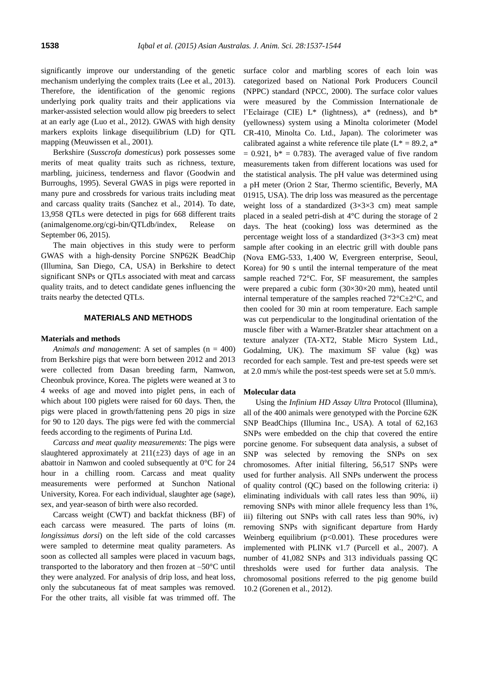significantly improve our understanding of the genetic mechanism underlying the complex traits (Lee et al., 2013). Therefore, the identification of the genomic regions underlying pork quality traits and their applications via marker-assisted selection would allow pig breeders to select at an early age (Luo et al., 2012). GWAS with high density markers exploits linkage disequilibrium (LD) for QTL mapping (Meuwissen et al., 2001).

Berkshire (*Susscrofa domesticus*) pork possesses some merits of meat quality traits such as richness, texture, marbling, juiciness, tenderness and flavor (Goodwin and Burroughs, 1995). Several GWAS in pigs were reported in many pure and crossbreds for various traits including meat and carcass quality traits (Sanchez et al., 2014). To date, 13,958 QTLs were detected in pigs for 668 different traits (animalgenome.org/cgi-bin/QTLdb/index, Release on September 06, 2015).

The main objectives in this study were to perform GWAS with a high-density Porcine SNP62K BeadChip (Illumina, San Diego, CA, USA) in Berkshire to detect significant SNPs or QTLs associated with meat and carcass quality traits, and to detect candidate genes influencing the traits nearby the detected QTLs.

#### **MATERIALS AND METHODS**

#### **Materials and methods**

*Animals and management*: A set of samples (n = 400) from Berkshire pigs that were born between 2012 and 2013 were collected from Dasan breeding farm, Namwon, Cheonbuk province, Korea. The piglets were weaned at 3 to 4 weeks of age and moved into piglet pens, in each of which about 100 piglets were raised for 60 days. Then, the pigs were placed in growth/fattening pens 20 pigs in size for 90 to 120 days. The pigs were fed with the commercial feeds according to the regiments of Purina Ltd.

*Carcass and meat quality measurements*: The pigs were slaughtered approximately at  $211(\pm 23)$  days of age in an abattoir in Namwon and cooled subsequently at 0°C for 24 hour in a chilling room. Carcass and meat quality measurements were performed at Sunchon National University, Korea. For each individual, slaughter age (sage), sex, and year-season of birth were also recorded.

Carcass weight (CWT) and backfat thickness (BF) of each carcass were measured. The parts of loins (*m. longissimus dorsi*) on the left side of the cold carcasses were sampled to determine meat quality parameters. As soon as collected all samples were placed in vacuum bags, transported to the laboratory and then frozen at –50°C until they were analyzed. For analysis of drip loss, and heat loss, only the subcutaneous fat of meat samples was removed. For the other traits, all visible fat was trimmed off. The

surface color and marbling scores of each loin was categorized based on National Pork Producers Council (NPPC) standard (NPCC, 2000). The surface color values were measured by the Commission Internationale de l'Eclairage (CIE)  $L^*$  (lightness),  $a^*$  (redness), and  $b^*$ (yellowness) system using a Minolta colorimeter (Model CR-410, Minolta Co. Ltd., Japan). The colorimeter was calibrated against a white reference tile plate  $(L^* = 89.2, a^*$  $= 0.921$ ,  $b^* = 0.783$ ). The averaged value of five random measurements taken from different locations was used for the statistical analysis. The pH value was determined using a pH meter (Orion 2 Star, Thermo scientific, Beverly, MA 01915, USA). The drip loss was measured as the percentage weight loss of a standardized  $(3\times3\times3$  cm) meat sample placed in a sealed petri-dish at 4°C during the storage of 2 days. The heat (cooking) loss was determined as the percentage weight loss of a standardized  $(3\times3\times3$  cm) meat sample after cooking in an electric grill with double pans (Nova EMG-533, 1,400 W, Evergreen enterprise, Seoul, Korea) for 90 s until the internal temperature of the meat sample reached 72°C. For, SF measurement, the samples were prepared a cubic form (30×30×20 mm), heated until internal temperature of the samples reached  $72^{\circ}C \pm 2^{\circ}C$ , and then cooled for 30 min at room temperature. Each sample was cut perpendicular to the longitudinal orientation of the muscle fiber with a Warner-Bratzler shear attachment on a texture analyzer (TA-XT2, Stable Micro System Ltd., Godalming, UK). The maximum SF value (kg) was recorded for each sample. Test and pre-test speeds were set at 2.0 mm/s while the post-test speeds were set at 5.0 mm/s.

#### **Molecular data**

Using the *Infinium HD Assay Ultra* Protocol (Illumina), all of the 400 animals were genotyped with the Porcine 62K SNP BeadChips (Illumina Inc., USA). A total of 62,163 SNPs were embedded on the chip that covered the entire porcine genome. For subsequent data analysis, a subset of SNP was selected by removing the SNPs on sex chromosomes. After initial filtering, 56,517 SNPs were used for further analysis. All SNPs underwent the process of quality control (QC) based on the following criteria: i) eliminating individuals with call rates less than 90%, ii) removing SNPs with minor allele frequency less than 1%, iii) filtering out SNPs with call rates less than 90%, iv) removing SNPs with significant departure from Hardy Weinberg equilibrium  $(p<0.001)$ . These procedures were implemented with PLINK v1.7 (Purcell et al., 2007). A number of 41,082 SNPs and 313 individuals passing QC thresholds were used for further data analysis. The chromosomal positions referred to the pig genome build 10.2 (Gorenen et al., 2012).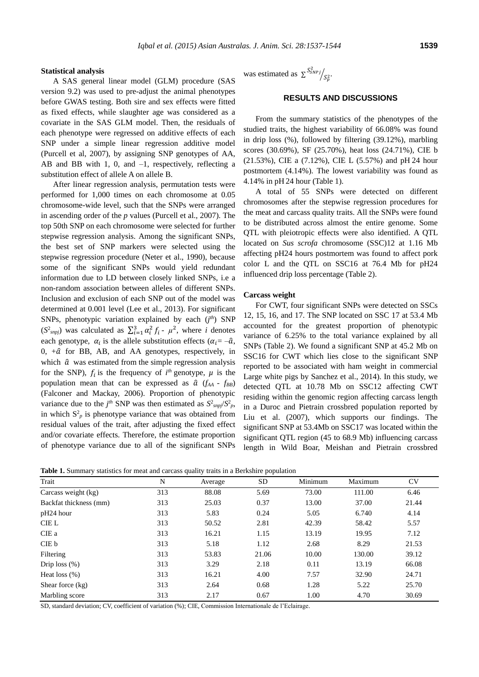#### **Statistical analysis**

A SAS general linear model (GLM) procedure (SAS version 9.2) was used to pre-adjust the animal phenotypes before GWAS testing. Both sire and sex effects were fitted as fixed effects, while slaughter age was considered as a covariate in the SAS GLM model. Then, the residuals of each phenotype were regressed on additive effects of each SNP under a simple linear regression additive model (Purcell et al, 2007), by assigning SNP genotypes of AA, AB and BB with 1, 0, and –1, respectively, reflecting a substitution effect of allele A on allele B.

After linear regression analysis, permutation tests were performed for 1,000 times on each chromosome at 0.05 chromosome-wide level, such that the SNPs were arranged in ascending order of the *p* values (Purcell et al., 2007). The top 50th SNP on each chromosome were selected for further stepwise regression analysis. Among the significant SNPs, the best set of SNP markers were selected using the stepwise regression procedure (Neter et al., 1990), because some of the significant SNPs would yield redundant information due to LD between closely linked SNPs, i.e a non-random association between alleles of different SNPs. Inclusion and exclusion of each SNP out of the model was determined at 0.001 level (Lee et al., 2013). For significant SNPs, phenotypic variation explained by each (*j<sup>th</sup>*) SNP  $(S^2_{\text{supj}})$  was calculated as  $\sum_{i=1}^3 \alpha_i^2 f_i - \mu^2$ , where *i* denotes each genotype,  $\alpha_i$  is the allele substitution effects ( $\alpha_i = -\hat{a}$ ,  $0, +\hat{a}$  for BB, AB, and AA genotypes, respectively, in which  $\hat{a}$  was estimated from the simple regression analysis for the SNP),  $f_i$  is the frequency of  $i^{th}$  genotype,  $\mu$  is the population mean that can be expressed as  $\hat{a}$  ( $f_{AA}$  -  $f_{BB}$ ) (Falconer and Mackay, 2006). Proportion of phenotypic variance due to the *j*<sup>th</sup> SNP was then estimated as  $S^2_{supj}/S^2_p$ , in which  $S_p^2$  is phenotype variance that was obtained from residual values of the trait, after adjusting the fixed effect and/or covariate effects. Therefore, the estimate proportion of phenotype variance due to all of the significant SNPs

was estimated as  $\sum_{s \leq N} S_{SNPj}^2$  $^i\!/_{S_p^2}.$ 

# **RESULTS AND DISCUSSIONS**

From the summary statistics of the phenotypes of the studied traits, the highest variability of 66.08% was found in drip loss (%), followed by filtering (39.12%), marbling scores (30.69%), SF (25.70%), heat loss (24.71%), CIE b (21.53%), CIE a (7.12%), CIE L (5.57%) and pH 24 hour postmortem (4.14%). The lowest variability was found as 4.14% in pH 24 hour (Table 1).

A total of 55 SNPs were detected on different chromosomes after the stepwise regression procedures for the meat and carcass quality traits. All the SNPs were found to be distributed across almost the entire genome. Some QTL with pleiotropic effects were also identified. A QTL located on *Sus scrofa* chromosome (SSC)12 at 1.16 Mb affecting pH24 hours postmortem was found to affect pork color L and the QTL on SSC16 at 76.4 Mb for pH24 influenced drip loss percentage (Table 2).

#### **Carcass weight**

For CWT, four significant SNPs were detected on SSCs 12, 15, 16, and 17. The SNP located on SSC 17 at 53.4 Mb accounted for the greatest proportion of phenotypic variance of 6.25% to the total variance explained by all SNPs (Table 2). We found a significant SNP at 45.2 Mb on SSC16 for CWT which lies close to the significant SNP reported to be associated with ham weight in commercial Large white pigs by Sanchez et al., 2014). In this study, we detected QTL at 10.78 Mb on SSC12 affecting CWT residing within the genomic region affecting carcass length in a Duroc and Pietrain crossbred population reported by Liu et al. (2007), which supports our findings. The significant SNP at 53.4Mb on SSC17 was located within the significant QTL region (45 to 68.9 Mb) influencing carcass length in Wild Boar, Meishan and Pietrain crossbred

**Table 1.** Summary statistics for meat and carcass quality traits in a Berkshire population

| Trait                  | N   | Average | <b>SD</b> | Minimum | Maximum | <b>CV</b> |
|------------------------|-----|---------|-----------|---------|---------|-----------|
| Carcass weight (kg)    | 313 | 88.08   | 5.69      | 73.00   | 111.00  | 6.46      |
| Backfat thickness (mm) | 313 | 25.03   | 0.37      | 13.00   | 37.00   | 21.44     |
| pH24 hour              | 313 | 5.83    | 0.24      | 5.05    | 6.740   | 4.14      |
| <b>CIEL</b>            | 313 | 50.52   | 2.81      | 42.39   | 58.42   | 5.57      |
| CIE a                  | 313 | 16.21   | 1.15      | 13.19   | 19.95   | 7.12      |
| CIE b                  | 313 | 5.18    | 1.12      | 2.68    | 8.29    | 21.53     |
| Filtering              | 313 | 53.83   | 21.06     | 10.00   | 130.00  | 39.12     |
| Drip loss $(\%)$       | 313 | 3.29    | 2.18      | 0.11    | 13.19   | 66.08     |
| Heat loss $(\%)$       | 313 | 16.21   | 4.00      | 7.57    | 32.90   | 24.71     |
| Shear force (kg)       | 313 | 2.64    | 0.68      | 1.28    | 5.22    | 25.70     |
| Marbling score         | 313 | 2.17    | 0.67      | 1.00    | 4.70    | 30.69     |

SD, standard deviation; CV, coefficient of variation (%); CIE, Commission Internationale de l'Eclairage.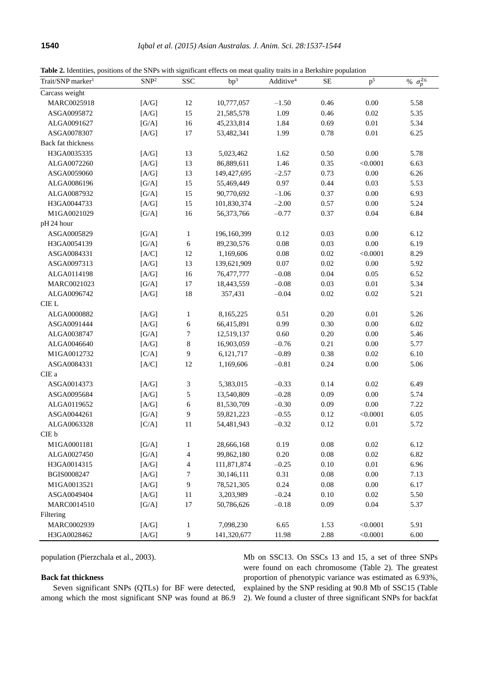**Table 2.** Identities, positions of the SNPs with significant effects on meat quality traits in a Berkshire population

| Trait/SNP marker <sup>1</sup> | SNP <sup>2</sup>         | <b>SSC</b>               | bp <sup>3</sup> | Additive <sup>4</sup> | $\rm SE$ | p <sup>5</sup> | % $\sigma_p^{26}$ |
|-------------------------------|--------------------------|--------------------------|-----------------|-----------------------|----------|----------------|-------------------|
| Carcass weight                |                          |                          |                 |                       |          |                |                   |
| MARC0025918                   | $[A/G]$                  | 12                       | 10,777,057      | $-1.50$               | 0.46     | $0.00\,$       | 5.58              |
| ASGA0095872                   | [A/G]                    | 15                       | 21,585,578      | 1.09                  | 0.46     | $0.02\,$       | 5.35              |
| ALGA0091627                   | [G/A]                    | 16                       | 45,233,814      | 1.84                  | 0.69     | $0.01\,$       | 5.34              |
| ASGA0078307                   | [A/G]                    | $17\,$                   | 53,482,341      | 1.99                  | 0.78     | $0.01\,$       | 6.25              |
| Back fat thickness            |                          |                          |                 |                       |          |                |                   |
| H3GA0035335                   | $[\rm{A/G}]$             | 13                       | 5,023,462       | 1.62                  | $0.50\,$ | $0.00\,$       | 5.78              |
| ALGA0072260                   | [A/G]                    | 13                       | 86,889,611      | 1.46                  | 0.35     | < 0.0001       | 6.63              |
| ASGA0059060                   | $[\mathrm{A/G}]$         | 13                       | 149,427,695     | $-2.57$               | 0.73     | $0.00\,$       | 6.26              |
| ALGA0086196                   | [G/A]                    | 15                       | 55,469,449      | 0.97                  | 0.44     | 0.03           | 5.53              |
| ALGA0087932                   | [G/A]                    | 15                       | 90,770,692      | $-1.06$               | 0.37     | $0.00\,$       | 6.93              |
| H3GA0044733                   | [A/G]                    | 15                       | 101,830,374     | $-2.00$               | 0.57     | 0.00           | 5.24              |
| M1GA0021029                   | [G/A]                    | 16                       | 56,373,766      | $-0.77$               | 0.37     | $0.04\,$       | 6.84              |
| pH 24 hour                    |                          |                          |                 |                       |          |                |                   |
| ASGA0005829                   | [G/A]                    | $\mathbf{1}$             | 196,160,399     | 0.12                  | 0.03     | 0.00           | 6.12              |
| H3GA0054139                   | [G/A]                    | $\sqrt{6}$               | 89,230,576      | 0.08                  | 0.03     | $0.00\,$       | 6.19              |
| ASGA0084331                   | [A/C]                    | 12                       | 1,169,606       | 0.08                  | $0.02\,$ | < 0.0001       | 8.29              |
| ASGA0097313                   | [A/G]                    | 13                       | 139,621,909     | $0.07\,$              | $0.02\,$ | $0.00\,$       | 5.92              |
| ALGA0114198                   | [A/G]                    | 16                       | 76,477,777      | $-0.08$               | 0.04     | 0.05           | 6.52              |
| MARC0021023                   | [G/A]                    | $17\,$                   | 18,443,559      | $-0.08$               | 0.03     | $0.01\,$       | 5.34              |
| ALGA0096742                   | [A/G]                    | $18\,$                   | 357,431         | $-0.04$               | 0.02     | $0.02\,$       | 5.21              |
| ${\rm CIE}$ L                 |                          |                          |                 |                       |          |                |                   |
| ALGA0000882                   | [A/G]                    | $\mathbf{1}$             | 8,165,225       | 0.51                  | 0.20     | $0.01\,$       | 5.26              |
| ASGA0091444                   | [A/G]                    | $\sqrt{6}$               | 66,415,891      | 0.99                  | 0.30     | $0.00\,$       | 6.02              |
| ALGA0038747                   | [G/A]                    | 7                        | 12,519,137      | $0.60\,$              | $0.20\,$ | $0.00\,$       | 5.46              |
| ALGA0046640                   | $[A/G]$                  | $\,8\,$                  | 16,903,059      | $-0.76$               | 0.21     | 0.00           | 5.77              |
| M1GA0012732                   | [C/A]                    | $\boldsymbol{9}$         | 6,121,717       | $-0.89$               | 0.38     | $0.02\,$       | 6.10              |
| ASGA0084331                   | [A/C]                    | 12                       | 1,169,606       | $-0.81$               | 0.24     | $0.00\,$       | 5.06              |
| CIE a                         |                          |                          |                 |                       |          |                |                   |
| ASGA0014373                   | [A/G]                    | 3                        | 5,383,015       | $-0.33$               | 0.14     | $0.02\,$       | 6.49              |
| ASGA0095684                   | [A/G]                    | $\mathfrak s$            | 13,540,809      | $-0.28$               | 0.09     | $0.00\,$       | 5.74              |
| ALGA0119652                   | [A/G]                    | $\sqrt{6}$               | 81,530,709      | $-0.30$               | 0.09     | $0.00\,$       | 7.22              |
| ASGA0044261                   | [G/A]                    | 9                        | 59,821,223      | $-0.55$               | 0.12     | < 0.0001       | 6.05              |
| ALGA0063328                   | [C/A]                    | 11                       | 54,481,943      | $-0.32$               | 0.12     | 0.01           | 5.72              |
| CIE b                         |                          |                          |                 |                       |          |                |                   |
| M1GA0001181                   | $\left[{\rm G/A}\right]$ | $\mathbf{1}$             | 28,666,168      | 0.19                  | 0.08     | $0.02\,$       | 6.12              |
| ALGA0027450                   | [G/A]                    | $\overline{\mathcal{L}}$ | 99,862,180      | $0.20\,$              | $0.08\,$ | $0.02\,$       | 6.82              |
| H3GA0014315                   | [A/G]                    | $\overline{4}$           | 111,871,874     | $-0.25$               | $0.10\,$ | $0.01\,$       | 6.96              |
| BGIS0008247                   | [A/G]                    | 7                        | 30,146,111      | 0.31                  | $0.08\,$ | $0.00\,$       | 7.13              |
| M1GA0013521                   | [A/G]                    | $\boldsymbol{9}$         | 78,521,305      | 0.24                  | $0.08\,$ | $0.00\,$       | 6.17              |
| ASGA0049404                   | [A/G]                    | 11                       | 3,203,989       | $-0.24$               | $0.10\,$ | $0.02\,$       | 5.50              |
|                               |                          |                          |                 |                       |          |                |                   |
| MARC0014510                   | [G/A]                    | $17\,$                   | 50,786,626      | $-0.18$               | 0.09     | 0.04           | 5.37              |
| Filtering                     |                          |                          |                 |                       |          |                |                   |
| MARC0002939                   | $\left[{\rm A/G}\right]$ | $\mathbf{1}$             | 7,098,230       | 6.65                  | 1.53     | < 0.0001       | 5.91              |
| H3GA0028462                   | [A/G]                    | 9                        | 141,320,677     | 11.98                 | 2.88     | < 0.0001       | 6.00              |

population (Pierzchala et al., 2003).

## **Back fat thickness**

Seven significant SNPs (QTLs) for BF were detected, among which the most significant SNP was found at 86.9

Mb on SSC13. On SSCs 13 and 15, a set of three SNPs were found on each chromosome (Table 2). The greatest proportion of phenotypic variance was estimated as 6.93%, explained by the SNP residing at 90.8 Mb of SSC15 (Table 2). We found a cluster of three significant SNPs for backfat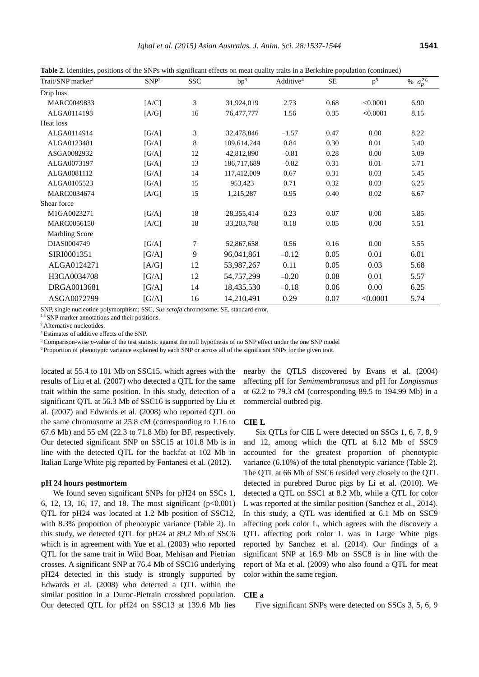**Table 2.** Identities, positions of the SNPs with significant effects on meat quality traits in a Berkshire population (continued)

| Trait/SNP marker <sup>1</sup> | SNP <sup>2</sup> | <b>SSC</b> | bp <sup>3</sup> | Additive <sup>4</sup> | SE   | p <sup>5</sup> | % $\sigma_p^{26}$ |
|-------------------------------|------------------|------------|-----------------|-----------------------|------|----------------|-------------------|
| Drip loss                     |                  |            |                 |                       |      |                |                   |
| MARC0049833                   | [A/C]            | 3          | 31,924,019      | 2.73                  | 0.68 | < 0.0001       | 6.90              |
| ALGA0114198                   | [A/G]            | 16         | 76,477,777      | 1.56                  | 0.35 | < 0.0001       | 8.15              |
| Heat loss                     |                  |            |                 |                       |      |                |                   |
| ALGA0114914                   | [G/A]            | 3          | 32,478,846      | $-1.57$               | 0.47 | 0.00           | 8.22              |
| ALGA0123481                   | [G/A]            | 8          | 109,614,244     | 0.84                  | 0.30 | 0.01           | 5.40              |
| ASGA0082932                   | [G/A]            | 12         | 42,812,890      | $-0.81$               | 0.28 | 0.00           | 5.09              |
| ALGA0073197                   | [G/A]            | 13         | 186,717,689     | $-0.82$               | 0.31 | 0.01           | 5.71              |
| ALGA0081112                   | [G/A]            | 14         | 117,412,009     | 0.67                  | 0.31 | 0.03           | 5.45              |
| ALGA0105523                   | [G/A]            | 15         | 953,423         | 0.71                  | 0.32 | 0.03           | 6.25              |
| MARC0034674                   | [A/G]            | 15         | 1,215,287       | 0.95                  | 0.40 | 0.02           | 6.67              |
| Shear force                   |                  |            |                 |                       |      |                |                   |
| M1GA0023271                   | [G/A]            | 18         | 28,355,414      | 0.23                  | 0.07 | 0.00           | 5.85              |
| MARC0056150                   | [A/C]            | 18         | 33, 203, 788    | 0.18                  | 0.05 | 0.00           | 5.51              |
| <b>Marbling Score</b>         |                  |            |                 |                       |      |                |                   |
| DIAS0004749                   | [G/A]            | 7          | 52,867,658      | 0.56                  | 0.16 | 0.00           | 5.55              |
| SIRI0001351                   | [G/A]            | 9          | 96,041,861      | $-0.12$               | 0.05 | 0.01           | 6.01              |
| ALGA0124271                   | [A/G]            | 12         | 53,987,267      | 0.11                  | 0.05 | 0.03           | 5.68              |
| H3GA0034708                   | [G/A]            | 12         | 54,757,299      | $-0.20$               | 0.08 | 0.01           | 5.57              |
| DRGA0013681                   | [G/A]            | 14         | 18,435,530      | $-0.18$               | 0.06 | 0.00           | 6.25              |
| ASGA0072799                   | [G/A]            | 16         | 14,210,491      | 0.29                  | 0.07 | < 0.0001       | 5.74              |

SNP, single nucleotide polymorphism; SSC, *Sus scrofa* chromosome; SE, standard error.

<sup>1,3</sup> SNP marker annotations and their positions.

<sup>2</sup> Alternative nucleotides.

<sup>4</sup>Estimates of additive effects of the SNP.

<sup>5</sup> Comparison-wise *p*-value of the test statistic against the null hypothesis of no SNP effect under the one SNP model

6 Proportion of phenotypic variance explained by each SNP or across all of the significant SNPs for the given trait.

located at 55.4 to 101 Mb on SSC15, which agrees with the results of Liu et al. (2007) who detected a QTL for the same trait within the same position. In this study, detection of a significant QTL at 56.3 Mb of SSC16 is supported by Liu et al. (2007) and Edwards et al. (2008) who reported QTL on the same chromosome at 25.8 cM (corresponding to 1.16 to 67.6 Mb) and 55 cM (22.3 to 71.8 Mb) for BF, respectively. Our detected significant SNP on SSC15 at 101.8 Mb is in line with the detected QTL for the backfat at 102 Mb in Italian Large White pig reported by Fontanesi et al. (2012).

#### **pH 24 hours postmortem**

We found seven significant SNPs for pH24 on SSCs 1, 6, 12, 13, 16, 17, and 18. The most significant  $(p<0.001)$ QTL for pH24 was located at 1.2 Mb position of SSC12, with 8.3% proportion of phenotypic variance (Table 2). In this study, we detected QTL for pH24 at 89.2 Mb of SSC6 which is in agreement with Yue et al. (2003) who reported QTL for the same trait in Wild Boar, Mehisan and Pietrian crosses. A significant SNP at 76.4 Mb of SSC16 underlying pH24 detected in this study is strongly supported by Edwards et al. (2008) who detected a QTL within the similar position in a Duroc-Pietrain crossbred population. Our detected QTL for pH24 on SSC13 at 139.6 Mb lies

nearby the QTLS discovered by Evans et al. (2004) affecting pH for *Semimembranosus* and pH for *Longissmus* at 62.2 to 79.3 cM (corresponding 89.5 to 194.99 Mb) in a commercial outbred pig.

#### **CIE L**

Six QTLs for CIE L were detected on SSCs 1, 6, 7, 8, 9 and 12, among which the QTL at 6.12 Mb of SSC9 accounted for the greatest proportion of phenotypic variance (6.10%) of the total phenotypic variance (Table 2). The QTL at 66 Mb of SSC6 resided very closely to the QTL detected in purebred Duroc pigs by Li et al. (2010). We detected a QTL on SSC1 at 8.2 Mb, while a QTL for color L was reported at the similar position (Sanchez et al., 2014). In this study, a QTL was identified at 6.1 Mb on SSC9 affecting pork color L, which agrees with the discovery a QTL affecting pork color L was in Large White pigs reported by Sanchez et al. (2014). Our findings of a significant SNP at 16.9 Mb on SSC8 is in line with the report of Ma et al. (2009) who also found a QTL for meat color within the same region.

#### **CIE a**

Five significant SNPs were detected on SSCs 3, 5, 6, 9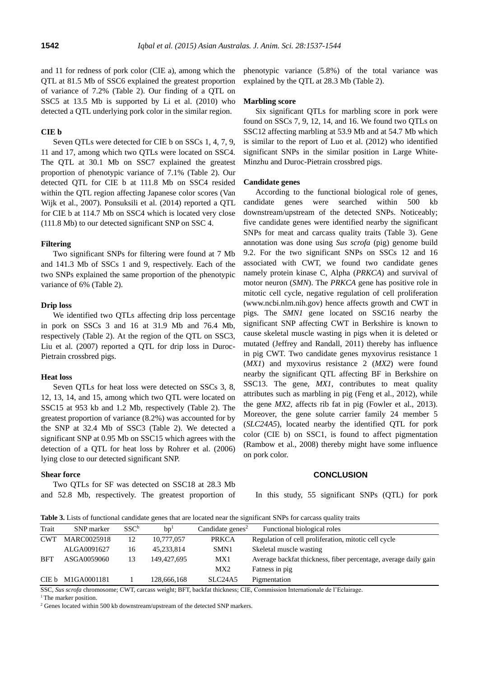and 11 for redness of pork color (CIE a), among which the QTL at 81.5 Mb of SSC6 explained the greatest proportion of variance of 7.2% (Table 2). Our finding of a QTL on SSC5 at 13.5 Mb is supported by Li et al. (2010) who detected a QTL underlying pork color in the similar region.

#### **CIE b**

Seven QTLs were detected for CIE b on SSCs 1, 4, 7, 9, 11 and 17, among which two QTLs were located on SSC4. The QTL at 30.1 Mb on SSC7 explained the greatest proportion of phenotypic variance of 7.1% (Table 2). Our detected QTL for CIE b at 111.8 Mb on SSC4 resided within the QTL region affecting Japanese color scores (Van Wijk et al., 2007). Ponsuksili et al. (2014) reported a QTL for CIE b at 114.7 Mb on SSC4 which is located very close (111.8 Mb) to our detected significant SNP on SSC 4.

# **Filtering**

Two significant SNPs for filtering were found at 7 Mb and 141.3 Mb of SSCs 1 and 9, respectively. Each of the two SNPs explained the same proportion of the phenotypic variance of 6% (Table 2).

#### **Drip loss**

We identified two QTLs affecting drip loss percentage in pork on SSCs 3 and 16 at 31.9 Mb and 76.4 Mb, respectively (Table 2). At the region of the QTL on SSC3, Liu et al. (2007) reported a QTL for drip loss in Duroc-Pietrain crossbred pigs.

#### **Heat loss**

Seven QTLs for heat loss were detected on SSCs 3, 8, 12, 13, 14, and 15, among which two QTL were located on SSC15 at 953 kb and 1.2 Mb, respectively (Table 2). The greatest proportion of variance (8.2%) was accounted for by the SNP at 32.4 Mb of SSC3 (Table 2). We detected a significant SNP at 0.95 Mb on SSC15 which agrees with the detection of a QTL for heat loss by Rohrer et al. (2006) lying close to our detected significant SNP.

#### **Shear force**

Two QTLs for SF was detected on SSC18 at 28.3 Mb and 52.8 Mb, respectively. The greatest proportion of phenotypic variance (5.8%) of the total variance was explained by the QTL at 28.3 Mb (Table 2).

# **Marbling score**

Six significant QTLs for marbling score in pork were found on SSCs 7, 9, 12, 14, and 16. We found two QTLs on SSC12 affecting marbling at 53.9 Mb and at 54.7 Mb which is similar to the report of Luo et al. (2012) who identified significant SNPs in the similar position in Large White-Minzhu and Duroc-Pietrain crossbred pigs.

#### **Candidate genes**

According to the functional biological role of genes, candidate genes were searched within 500 kb downstream/upstream of the detected SNPs. Noticeably; five candidate genes were identified nearby the significant SNPs for meat and carcass quality traits (Table 3). Gene annotation was done using *Sus scrofa* (pig) genome build 9.2. For the two significant SNPs on SSCs 12 and 16 associated with CWT, we found two candidate genes namely protein kinase C, Alpha (*PRKCA*) and survival of motor neuron (*SMN*). The *PRKCA* gene has positive role in mitotic cell cycle, negative regulation of cell proliferation (www.ncbi.nlm.nih.gov) hence affects growth and CWT in pigs. The *SMN1* gene located on SSC16 nearby the significant SNP affecting CWT in Berkshire is known to cause skeletal muscle wasting in pigs when it is deleted or mutated (Jeffrey and Randall, 2011) thereby has influence in pig CWT. Two candidate genes myxovirus resistance 1 (*MX1*) and myxovirus resistance 2 (*MX2*) were found nearby the significant QTL affecting BF in Berkshire on SSC13. The gene, *MX1*, contributes to meat quality attributes such as marbling in pig (Feng et al., 2012), while the gene *MX2*, affects rib fat in pig (Fowler et al., 2013). Moreover, the gene solute carrier family 24 member 5 (*SLC24A5*), located nearby the identified QTL for pork color (CIE b) on SSC1, is found to affect pigmentation (Rambow et al., 2008) thereby might have some influence on pork color.

#### **CONCLUSION**

In this study, 55 significant SNPs (QTL) for pork

**Table 3.** Lists of functional candidate genes that are located near the significant SNPs for carcass quality traits

| Trait                                                                                                                     | SNP marker        | $SSC^b$ | bp <sup>1</sup> | Candidate genes <sup>2</sup>     | Functional biological roles                                     |  |
|---------------------------------------------------------------------------------------------------------------------------|-------------------|---------|-----------------|----------------------------------|-----------------------------------------------------------------|--|
| <b>CWT</b>                                                                                                                | MARC0025918       | 12      | 10,777,057      | <b>PRKCA</b>                     | Regulation of cell proliferation, mitotic cell cycle            |  |
|                                                                                                                           | ALGA0091627       | 16      | 45,233,814      | SMN1                             | Skeletal muscle wasting                                         |  |
| <b>BFT</b>                                                                                                                | ASGA0059060       | 13      | 149,427,695     | MX1                              | Average backfat thickness, fiber percentage, average daily gain |  |
|                                                                                                                           |                   |         |                 | MX2                              | Fatness in pig                                                  |  |
|                                                                                                                           | CIE b M1GA0001181 |         | 128,666,168     | SLC <sub>24</sub> A <sub>5</sub> | Pigmentation                                                    |  |
| <b>COO</b> Corrected to the correct OWT control contribution DET 1. the distance OID Occupation Literational de DE debute |                   |         |                 |                                  |                                                                 |  |

SC, *Sus scrofa* chromosome; CWT, carcass weight; BFT, backfat thickness; CIE, Commission Internationale de l'Eclairage

<sup>1</sup> The marker position.

<sup>2</sup> Genes located within 500 kb downstream/upstream of the detected SNP markers.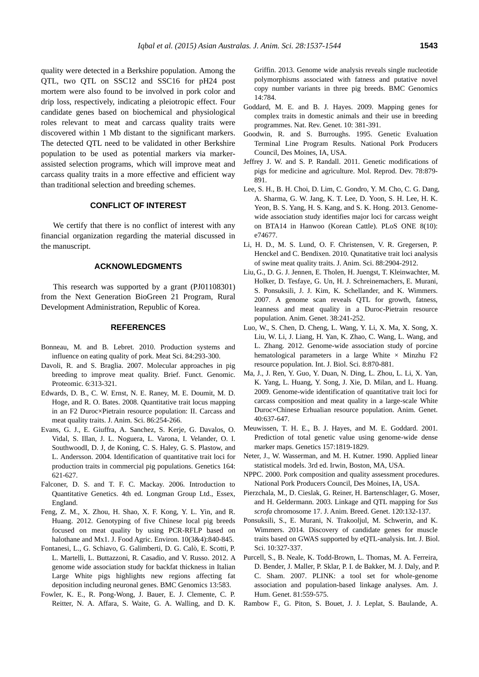quality were detected in a Berkshire population. Among the QTL, two QTL on SSC12 and SSC16 for pH24 post mortem were also found to be involved in pork color and drip loss, respectively, indicating a pleiotropic effect. Four candidate genes based on biochemical and physiological roles relevant to meat and carcass quality traits were discovered within 1 Mb distant to the significant markers. The detected QTL need to be validated in other Berkshire population to be used as potential markers via markerassisted selection programs, which will improve meat and carcass quality traits in a more effective and efficient way than traditional selection and breeding schemes.

#### **CONFLICT OF INTEREST**

We certify that there is no conflict of interest with any financial organization regarding the material discussed in the manuscript.

#### **ACKNOWLEDGMENTS**

This research was supported by a grant (PJ01108301) from the Next Generation BioGreen 21 Program, Rural Development Administration, Republic of Korea.

#### **REFERENCES**

- Bonneau, M. and B. Lebret. 2010. Production systems and influence on eating quality of pork. Meat Sci. 84:293-300.
- Davoli, R. and S. Braglia. 2007. Molecular approaches in pig breeding to improve meat quality. Brief. Funct. Genomic. Proteomic. 6:313-321.
- Edwards, D. B., C. W. Ernst, N. E. Raney, M. E. Doumit, M. D. Hoge, and R. O. Bates. 2008. Quantitative trait locus mapping in an F2 Duroc×Pietrain resource population: II. Carcass and meat quality traits. J. Anim. Sci. 86:254-266.
- Evans, G. J., E. Giuffra, A. Sanchez, S. Kerje, G. Davalos, O. Vidal, S. Illan, J. L. Noguera, L. Varona, I. Velander, O. I. SouthwoodI, D. J, de Koning, C. S. Haley, G. S. Plastow, and L. Andersson. 2004. Identification of quantitative trait loci for production traits in commercial pig populations. Genetics 164: 621-627.
- Falconer, D. S. and T. F. C. Mackay. 2006. Introduction to Quantitative Genetics. 4th ed. Longman Group Ltd., Essex, England.
- Feng, Z. M., X. Zhou, H. Shao, X. F. Kong, Y. L. Yin, and R. Huang. 2012. Genotyping of five Chinese local pig breeds focused on meat quality by using PCR-RFLP based on halothane and Mx1. J. Food Agric. Environ. 10(3&4):840-845.
- Fontanesi, L., G. Schiavo, G. Galimberti, D. G. Calò, E. Scotti, P. L. Martelli, L. Buttazzoni, R. Casadio, and V. Russo. 2012. A genome wide association study for backfat thickness in Italian Large White pigs highlights new regions affecting fat deposition including neuronal genes. BMC Genomics 13:583.
- Fowler, K. E., R. Pong-Wong, J. Bauer, E. J. Clemente, C. P. Reitter, N. A. Affara, S. Waite, G. A. Walling, and D. K.

Griffin. 2013. Genome wide analysis reveals single nucleotide polymorphisms associated with fatness and putative novel copy number variants in three pig breeds. BMC Genomics 14:784.

- Goddard, M. E. and B. J. Hayes. 2009. Mapping genes for complex traits in domestic animals and their use in breeding programmes. Nat. Rev. Genet. 10: 381-391.
- Goodwin, R. and S. Burroughs. 1995. Genetic Evaluation Terminal Line Program Results. National Pork Producers Council, Des Moines, IA, USA.
- Jeffrey J. W. and S. P. Randall. 2011. Genetic modifications of pigs for medicine and agriculture. Mol. Reprod. Dev. 78:879- 891.
- Lee, S. H., B. H. Choi, D. Lim, C. Gondro, Y. M. Cho, C. G. Dang, A. Sharma, G. W. Jang, K. T. Lee, D. Yoon, S. H. Lee, H. K. Yeon, B. S. Yang, H. S. Kang, and S. K. Hong. 2013. Genomewide association study identifies major loci for carcass weight on BTA14 in Hanwoo (Korean Cattle). PLoS ONE 8(10): e74677.
- Li, H. D., M. S. Lund, O. F. Christensen, V. R. Gregersen, P. Henckel and C. Bendixen. 2010. Qunatitative trait loci analysis of swine meat quality traits. J. Anim. Sci. 88:2904-2912.
- Liu, G., D. G. J. Jennen, E. Tholen, H. Juengst, T. Kleinwachter, M. Holker, D. Tesfaye, G. Un, H. J. Schreinemachers, E. Murani, S. Ponsuksili, J. J. Kim, K. Schellander, and K. Wimmers. 2007. A genome scan reveals QTL for growth, fatness, leanness and meat quality in a Duroc-Pietrain resource population. Anim. Genet. 38:241-252.
- Luo, W., S. Chen, D. Cheng, L. Wang, Y. Li, X. Ma, X. Song, X. Liu, W. Li, J. Liang, H. Yan, K. Zhao, C. Wang, L. Wang, and L. Zhang. 2012. Genome-wide association study of porcine hematological parameters in a large White  $\times$  Minzhu F2 resource population. Int. J. Biol. Sci. 8:870-881.
- Ma, J., J. Ren, Y. Guo, Y. Duan, N. Ding, L. Zhou, L. Li, X. Yan, K. Yang, L. Huang, Y. Song, J. Xie, D. Milan, and L. Huang. 2009. Genome-wide identification of quantitative trait loci for carcass composition and meat quality in a large-scale White Duroc×Chinese Erhualian resource population. Anim. Genet. 40:637-647.
- Meuwissen, T. H. E., B. J. Hayes, and M. E. Goddard. 2001. Prediction of total genetic value using genome-wide dense marker maps. Genetics 157:1819-1829.
- Neter, J., W. Wasserman, and M. H. Kutner. 1990. Applied linear statistical models. 3rd ed. Irwin, Boston, MA, USA.
- NPPC. 2000. Pork composition and quality assessment procedures. National Pork Producers Council, Des Moines, IA, USA.
- Pierzchala, M., D. Cieslak, G. Reiner, H. Bartenschlager, G. Moser, and H. Geldermann. 2003. Linkage and QTL mapping for *Sus scrofa* chromosome 17. J. Anim. Breed. Genet. 120:132-137.
- Ponsuksili, S., E. Murani, N. Trakooljul, M. Schwerin, and K. Wimmers. 2014. Discovery of candidate genes for muscle traits based on GWAS supported by eQTL-analysis. Int. J. Biol. Sci. 10:327-337.
- Purcell, S., B. Neale, K. Todd-Brown, L. Thomas, M. A. Ferreira, D. Bender, J. Maller, P. Sklar, P. I. de Bakker, M. J. Daly, and P. C. Sham. 2007. PLINK: a tool set for whole-genome association and population-based linkage analyses. Am. J. Hum. Genet. 81:559-575.
- Rambow F., G. Piton, S. Bouet, J. J. Leplat, S. Baulande, A.